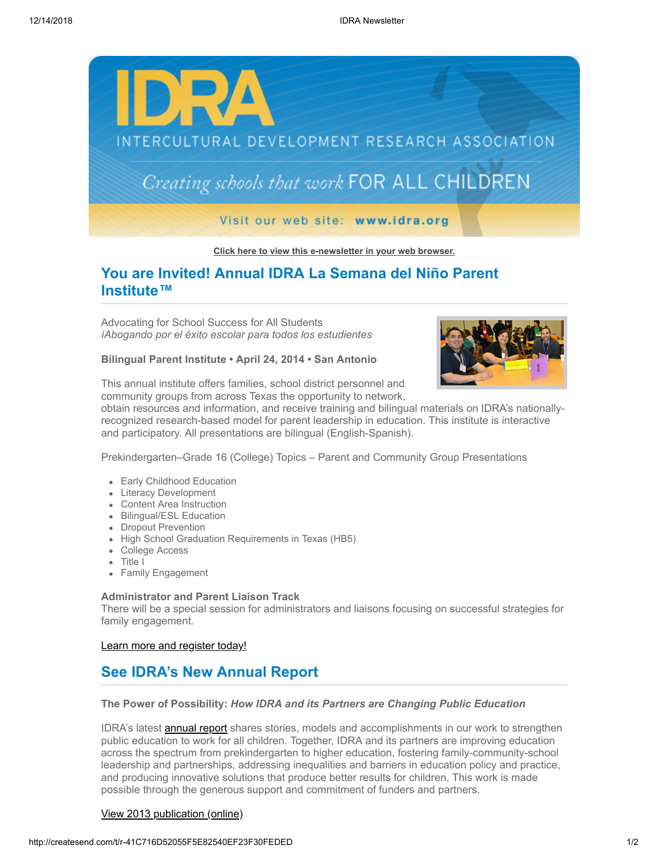

**[Click here to view this e-newsletter in your web browser.](http://newsletter.impulsedevelopment.com/t/r-e-xxduhk-l-r/)**

# **You are Invited! Annual IDRA La Semana del Niño Parent Institute™**

Advocating for School Success for All Students *íAbogando por el éxito escolar para todos los estudientes*

### **Bilingual Parent Institute • April 24, 2014 • San Antonio**



This annual institute offers families, school district personnel and community groups from across Texas the opportunity to network,

obtain resources and information, and receive training and bilingual materials on IDRA's nationallyrecognized research-based model for parent leadership in education. This institute is interactive and participatory. All presentations are bilingual (English-Spanish).

Prekindergarten–Grade 16 (College) Topics – Parent and Community Group Presentations

- Early Childhood Education
- Literacy Development
- Content Area Instruction
- Bilingual/ESL Education
- Dropout Prevention
- High School Graduation Requirements in Texas (HB5)
- College Access
- Title I
- Family Engagement

### **Administrator and Parent Liaison Track**

There will be a special session for administrators and liaisons focusing on successful strategies for family engagement.

#### [Learn more and register today!](http://idra.createsend1.com/t/r-l-xxduhk-l-i/)

## **See IDRA's New Annual Report**

### **The Power of Possibility:** *How IDRA and its Partners are Changing Public Education*

IDRA's latest **[annual report](http://idra.createsend1.com/t/r-l-xxduhk-l-d/)** shares stories, models and accomplishments in our work to strengthen public education to work for all children. Together, IDRA and its partners are improving education across the spectrum from prekindergarten to higher education, fostering family-community-school leadership and partnerships, addressing inequalities and barriers in education policy and practice, and producing innovative solutions that produce better results for children. This work is made possible through the generous support and commitment of funders and partners.

#### [View 2013 publication \(online\)](http://idra.createsend1.com/t/r-l-xxduhk-l-o/)